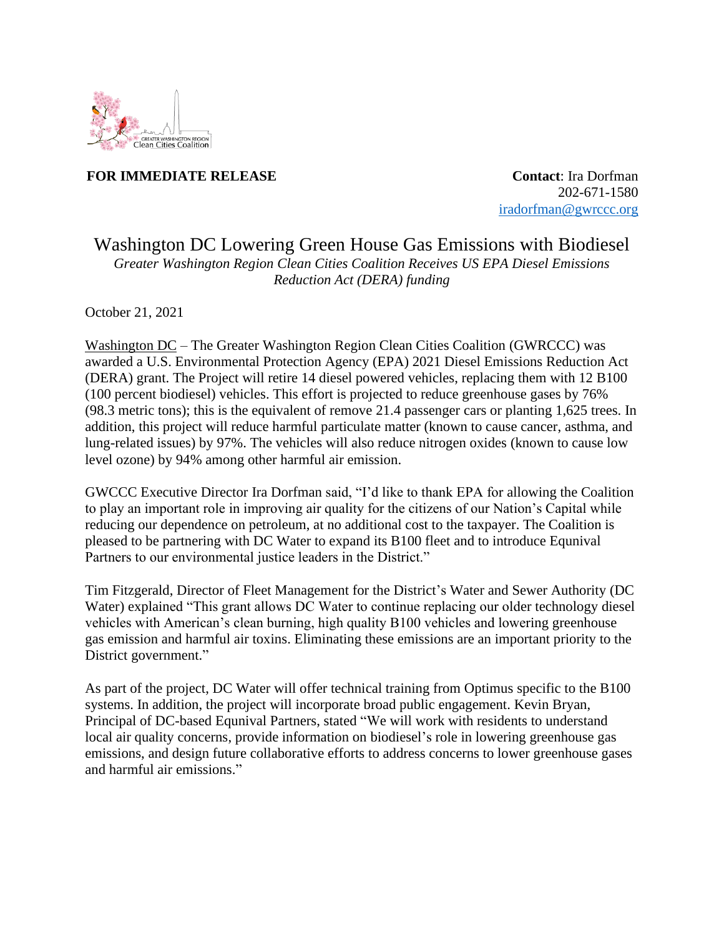

**FOR IMMEDIATE RELEASE CONTACTE SECONDER SERVICES** 

 202-671-1580 [iradorfman@gwrccc.org](mailto:iradorfman@gwrccc.org)

## Washington DC Lowering Green House Gas Emissions with Biodiesel *Greater Washington Region Clean Cities Coalition Receives US EPA Diesel Emissions Reduction Act (DERA) funding*

October 21, 2021

Washington DC – The Greater Washington Region Clean Cities Coalition (GWRCCC) was awarded a U.S. Environmental Protection Agency (EPA) 2021 Diesel Emissions Reduction Act (DERA) grant. The Project will retire 14 diesel powered vehicles, replacing them with 12 B100 (100 percent biodiesel) vehicles. This effort is projected to reduce greenhouse gases by 76% (98.3 metric tons); this is the equivalent of remove 21.4 passenger cars or planting 1,625 trees. In addition, this project will reduce harmful particulate matter (known to cause cancer, asthma, and lung-related issues) by 97%. The vehicles will also reduce nitrogen oxides (known to cause low level ozone) by 94% among other harmful air emission.

GWCCC Executive Director Ira Dorfman said, "I'd like to thank EPA for allowing the Coalition to play an important role in improving air quality for the citizens of our Nation's Capital while reducing our dependence on petroleum, at no additional cost to the taxpayer. The Coalition is pleased to be partnering with DC Water to expand its B100 fleet and to introduce Equnival Partners to our environmental justice leaders in the District."

Tim Fitzgerald, Director of Fleet Management for the District's Water and Sewer Authority (DC Water) explained "This grant allows DC Water to continue replacing our older technology diesel vehicles with American's clean burning, high quality B100 vehicles and lowering greenhouse gas emission and harmful air toxins. Eliminating these emissions are an important priority to the District government."

As part of the project, DC Water will offer technical training from [Optimus](https://www.optimustec.com/about-us) specific to the B100 systems. In addition, the project will incorporate broad public engagement. Kevin Bryan, Principal of DC-based Equnival Partners, stated "We will work with residents to understand local air quality concerns, provide information on biodiesel's role in lowering greenhouse gas emissions, and design future collaborative efforts to address concerns to lower greenhouse gases and harmful air emissions."